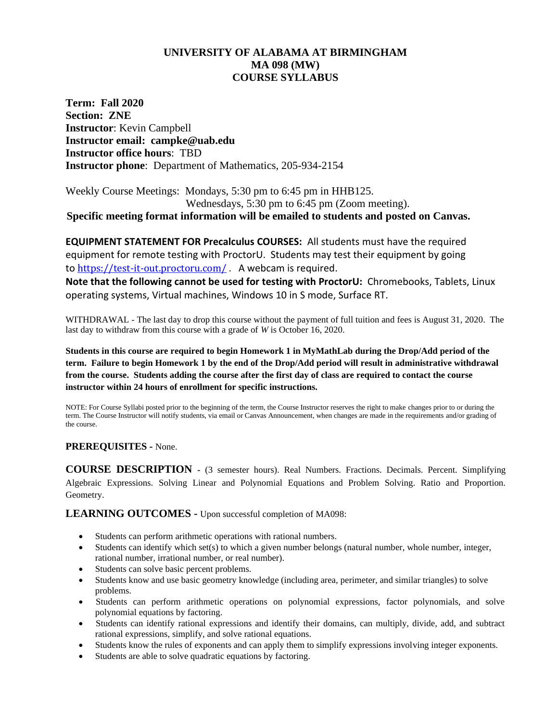# **UNIVERSITY OF ALABAMA AT BIRMINGHAM MA 098 (MW) COURSE SYLLABUS**

**Term: Fall 2020 Section: ZNE Instructor**: Kevin Campbell **Instructor email: campke@uab.edu Instructor office hours**: TBD **Instructor phone**: Department of Mathematics, 205-934-2154

Weekly Course Meetings: Mondays, 5:30 pm to 6:45 pm in HHB125. Wednesdays, 5:30 pm to 6:45 pm (Zoom meeting).

**Specific meeting format information will be emailed to students and posted on Canvas.**

**EQUIPMENT STATEMENT FOR Precalculus COURSES:** All students must have the required equipment for remote testing with ProctorU. Students may test their equipment by going to <https://test-it-out.proctoru.com/>. A webcam is required.

**Note that the following cannot be used for testing with ProctorU:** Chromebooks, Tablets, Linux operating systems, Virtual machines, Windows 10 in S mode, Surface RT.

WITHDRAWAL - The last day to drop this course without the payment of full tuition and fees is August 31, 2020. The last day to withdraw from this course with a grade of *W* is October 16, 2020.

**Students in this course are required to begin Homework 1 in MyMathLab during the Drop/Add period of the term. Failure to begin Homework 1 by the end of the Drop/Add period will result in administrative withdrawal from the course. Students adding the course after the first day of class are required to contact the course instructor within 24 hours of enrollment for specific instructions.**

NOTE: For Course Syllabi posted prior to the beginning of the term, the Course Instructor reserves the right to make changes prior to or during the term. The Course Instructor will notify students, via email or Canvas Announcement, when changes are made in the requirements and/or grading of the course.

# **PREREQUISITES -** None.

**COURSE DESCRIPTION -** (3 semester hours). Real Numbers. Fractions. Decimals. Percent. Simplifying Algebraic Expressions. Solving Linear and Polynomial Equations and Problem Solving. Ratio and Proportion. Geometry.

**LEARNING OUTCOMES -** Upon successful completion of MA098:

- Students can perform arithmetic operations with rational numbers.
- Students can identify which set(s) to which a given number belongs (natural number, whole number, integer, rational number, irrational number, or real number).
- Students can solve basic percent problems.
- Students know and use basic geometry knowledge (including area, perimeter, and similar triangles) to solve problems.
- Students can perform arithmetic operations on polynomial expressions, factor polynomials, and solve polynomial equations by factoring.
- Students can identify rational expressions and identify their domains, can multiply, divide, add, and subtract rational expressions, simplify, and solve rational equations.
- Students know the rules of exponents and can apply them to simplify expressions involving integer exponents.
- Students are able to solve quadratic equations by factoring.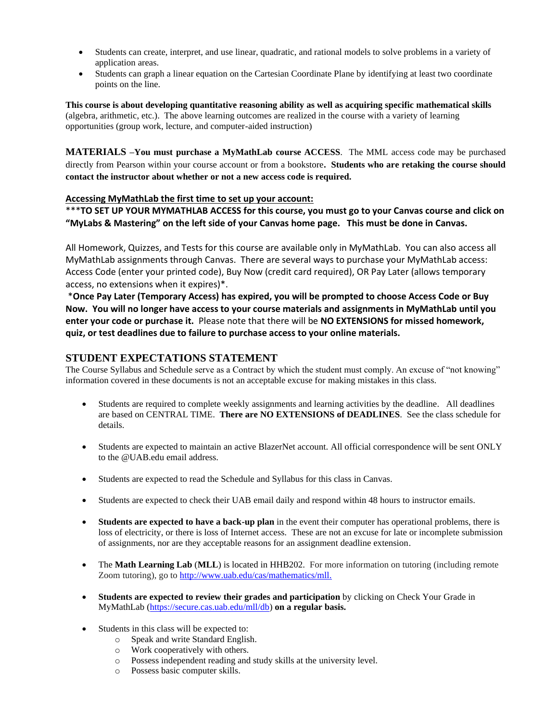- Students can create, interpret, and use linear, quadratic, and rational models to solve problems in a variety of application areas.
- Students can graph a linear equation on the Cartesian Coordinate Plane by identifying at least two coordinate points on the line.

**This course is about developing quantitative reasoning ability as well as acquiring specific mathematical skills** (algebra, arithmetic, etc.). The above learning outcomes are realized in the course with a variety of learning opportunities (group work, lecture, and computer-aided instruction)

**MATERIALS –You must purchase a MyMathLab course ACCESS**. The MML access code may be purchased directly from Pearson within your course account or from a bookstore**. Students who are retaking the course should contact the instructor about whether or not a new access code is required.** 

#### **Accessing MyMathLab the first time to set up your account:**

\*\*\***TO SET UP YOUR MYMATHLAB ACCESS for this course, you must go to your Canvas course and click on "MyLabs & Mastering" on the left side of your Canvas home page. This must be done in Canvas.** 

All Homework, Quizzes, and Tests for this course are available only in MyMathLab. You can also access all MyMathLab assignments through Canvas. There are several ways to purchase your MyMathLab access: Access Code (enter your printed code), Buy Now (credit card required), OR Pay Later (allows temporary access, no extensions when it expires)\*.

\***Once Pay Later (Temporary Access) has expired, you will be prompted to choose Access Code or Buy Now. You will no longer have access to your course materials and assignments in MyMathLab until you enter your code or purchase it.** Please note that there will be **NO EXTENSIONS for missed homework, quiz, or test deadlines due to failure to purchase access to your online materials.**

## **STUDENT EXPECTATIONS STATEMENT**

The Course Syllabus and Schedule serve as a Contract by which the student must comply. An excuse of "not knowing" information covered in these documents is not an acceptable excuse for making mistakes in this class.

- Students are required to complete weekly assignments and learning activities by the deadline. All deadlines are based on CENTRAL TIME. **There are NO EXTENSIONS of DEADLINES**. See the class schedule for details.
- Students are expected to maintain an active BlazerNet account. All official correspondence will be sent ONLY to the @UAB.edu email address.
- Students are expected to read the Schedule and Syllabus for this class in Canvas.
- Students are expected to check their UAB email daily and respond within 48 hours to instructor emails.
- **Students are expected to have a back-up plan** in the event their computer has operational problems, there is loss of electricity, or there is loss of Internet access. These are not an excuse for late or incomplete submission of assignments, nor are they acceptable reasons for an assignment deadline extension.
- The **Math Learning Lab** (**MLL**) is located in HHB202. For more information on tutoring (including remote Zoom tutoring), go to [http://www.uab.edu/cas/mathematics/mll.](http://www.uab.edu/cas/mathematics/mll)
- **Students are expected to review their grades and participation** by clicking on Check Your Grade in MyMathLab [\(https://secure.cas.uab.edu/mll/db\)](https://secure.cas.uab.edu/mll/db) **on a regular basis.**
- Students in this class will be expected to:
	- o Speak and write Standard English.
	- o Work cooperatively with others.
	- o Possess independent reading and study skills at the university level.
	- o Possess basic computer skills.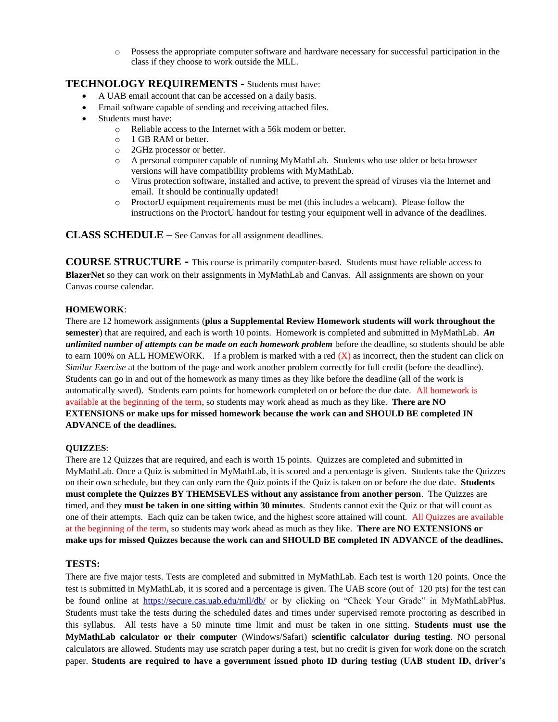o Possess the appropriate computer software and hardware necessary for successful participation in the class if they choose to work outside the MLL.

## **TECHNOLOGY REQUIREMENTS -** Students must have:

- A UAB email account that can be accessed on a daily basis.
- Email software capable of sending and receiving attached files.
- Students must have:
	- o Reliable access to the Internet with a 56k modem or better.
	- o 1 GB RAM or better.
	- o 2GHz processor or better.
	- o A personal computer capable of running MyMathLab. Students who use older or beta browser versions will have compatibility problems with MyMathLab.
	- o Virus protection software, installed and active, to prevent the spread of viruses via the Internet and email. It should be continually updated!
	- o ProctorU equipment requirements must be met (this includes a webcam). Please follow the instructions on the ProctorU handout for testing your equipment well in advance of the deadlines.

**CLASS SCHEDULE** – See Canvas for all assignment deadlines.

**COURSE STRUCTURE -** This course is primarily computer-based. Students must have reliable access to **BlazerNet** so they can work on their assignments in MyMathLab and Canvas. All assignments are shown on your Canvas course calendar.

#### **HOMEWORK**:

There are 12 homework assignments (**plus a Supplemental Review Homework students will work throughout the semester**) that are required, and each is worth 10 points. Homework is completed and submitted in MyMathLab. *An unlimited number of attempts can be made on each homework problem* before the deadline, so students should be able to earn 100% on ALL HOMEWORK. If a problem is marked with a red  $(X)$  as incorrect, then the student can click on *Similar Exercise* at the bottom of the page and work another problem correctly for full credit (before the deadline). Students can go in and out of the homework as many times as they like before the deadline (all of the work is automatically saved). Students earn points for homework completed on or before the due date. All homework is available at the beginning of the term, so students may work ahead as much as they like. **There are NO EXTENSIONS or make ups for missed homework because the work can and SHOULD BE completed IN ADVANCE of the deadlines.**

#### **QUIZZES**:

There are 12 Quizzes that are required, and each is worth 15 points. Quizzes are completed and submitted in MyMathLab. Once a Quiz is submitted in MyMathLab, it is scored and a percentage is given. Students take the Quizzes on their own schedule, but they can only earn the Quiz points if the Quiz is taken on or before the due date. **Students must complete the Quizzes BY THEMSEVLES without any assistance from another person**. The Quizzes are timed, and they **must be taken in one sitting within 30 minutes**. Students cannot exit the Quiz or that will count as one of their attempts. Each quiz can be taken twice, and the highest score attained will count. All Quizzes are available at the beginning of the term, so students may work ahead as much as they like. **There are NO EXTENSIONS or make ups for missed Quizzes because the work can and SHOULD BE completed IN ADVANCE of the deadlines.**

## **TESTS:**

There are five major tests. Tests are completed and submitted in MyMathLab. Each test is worth 120 points. Once the test is submitted in MyMathLab, it is scored and a percentage is given. The UAB score (out of 120 pts) for the test can be found online at <https://secure.cas.uab.edu/mll/db/> or by clicking on "Check Your Grade" in MyMathLabPlus. Students must take the tests during the scheduled dates and times under supervised remote proctoring as described in this syllabus. All tests have a 50 minute time limit and must be taken in one sitting. **Students must use the MyMathLab calculator or their computer** (Windows/Safari) **scientific calculator during testing**. NO personal calculators are allowed. Students may use scratch paper during a test, but no credit is given for work done on the scratch paper. **Students are required to have a government issued photo ID during testing (UAB student ID, driver's**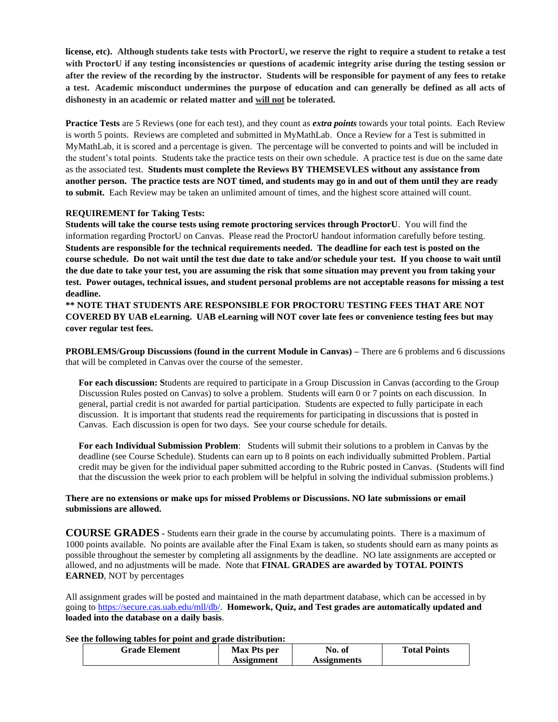**license, etc). Although students take tests with ProctorU, we reserve the right to require a student to retake a test with ProctorU if any testing inconsistencies or questions of academic integrity arise during the testing session or after the review of the recording by the instructor. Students will be responsible for payment of any fees to retake a test. Academic misconduct undermines the purpose of education and can generally be defined as all acts of dishonesty in an academic or related matter and will not be tolerated.**

**Practice Tests** are 5 Reviews (one for each test), and they count as *extra points* towards your total points. Each Review is worth 5 points. Reviews are completed and submitted in MyMathLab. Once a Review for a Test is submitted in MyMathLab, it is scored and a percentage is given. The percentage will be converted to points and will be included in the student's total points. Students take the practice tests on their own schedule. A practice test is due on the same date as the associated test. **Students must complete the Reviews BY THEMSEVLES without any assistance from another person. The practice tests are NOT timed, and students may go in and out of them until they are ready to submit.** Each Review may be taken an unlimited amount of times, and the highest score attained will count.

## **REQUIREMENT for Taking Tests:**

**Students will take the course tests using remote proctoring services through ProctorU**. You will find the information regarding ProctorU on Canvas. Please read the ProctorU handout information carefully before testing. **Students are responsible for the technical requirements needed. The deadline for each test is posted on the course schedule. Do not wait until the test due date to take and/or schedule your test. If you choose to wait until the due date to take your test, you are assuming the risk that some situation may prevent you from taking your test. Power outages, technical issues, and student personal problems are not acceptable reasons for missing a test deadline.**

**\*\* NOTE THAT STUDENTS ARE RESPONSIBLE FOR PROCTORU TESTING FEES THAT ARE NOT COVERED BY UAB eLearning. UAB eLearning will NOT cover late fees or convenience testing fees but may cover regular test fees.** 

**PROBLEMS/Group Discussions (found in the current Module in Canvas) –** There are 6 problems and 6 discussions that will be completed in Canvas over the course of the semester.

**For each discussion: S**tudents are required to participate in a Group Discussion in Canvas (according to the Group Discussion Rules posted on Canvas) to solve a problem. Students will earn 0 or 7 points on each discussion. In general, partial credit is not awarded for partial participation. Students are expected to fully participate in each discussion. It is important that students read the requirements for participating in discussions that is posted in Canvas. Each discussion is open for two days. See your course schedule for details.

**For each Individual Submission Problem**: Students will submit their solutions to a problem in Canvas by the deadline (see Course Schedule). Students can earn up to 8 points on each individually submitted Problem. Partial credit may be given for the individual paper submitted according to the Rubric posted in Canvas. (Students will find that the discussion the week prior to each problem will be helpful in solving the individual submission problems.)

## **There are no extensions or make ups for missed Problems or Discussions. NO late submissions or email submissions are allowed.**

**COURSE GRADES -** Students earn their grade in the course by accumulating points. There is a maximum of 1000 points available. No points are available after the Final Exam is taken, so students should earn as many points as possible throughout the semester by completing all assignments by the deadline. NO late assignments are accepted or allowed, and no adjustments will be made. Note that **FINAL GRADES are awarded by TOTAL POINTS EARNED**, NOT by percentages

All assignment grades will be posted and maintained in the math department database, which can be accessed in by going t[o https://secure.cas.uab.edu/mll/db/.](https://secure.cas.uab.edu/mll/db/) **Homework, Quiz, and Test grades are automatically updated and loaded into the database on a daily basis**.

**See the following tables for point and grade distribution:** 

| <b>Grade Element</b> | Max Pts per | No. of      | <b>Total Points</b> |
|----------------------|-------------|-------------|---------------------|
|                      | Assignment  | Assignments |                     |